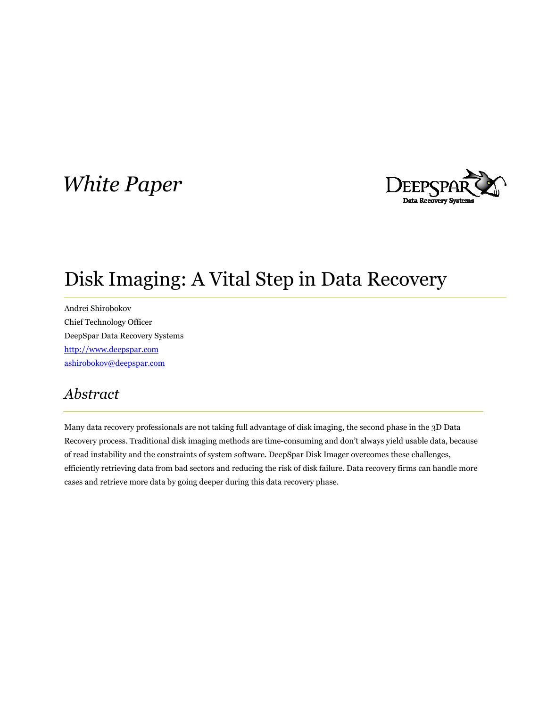# White Paper



# Disk Imaging: A Vital Step in Data Recovery

Andrei Shirobokov Chief Technology Officer DeepSpar Data Recovery Systems http://www.deepspar.com ashirobokov@deepspar.com

# Abstract

Many data recovery professionals are not taking full advantage of disk imaging, the second phase in the 3D Data Recovery process. Traditional disk imaging methods are time-consuming and don't always yield usable data, because of read instability and the constraints of system software. DeepSpar Disk Imager overcomes these challenges, efficiently retrieving data from bad sectors and reducing the risk of disk failure. Data recovery firms can handle more cases and retrieve more data by going deeper during this data recovery phase.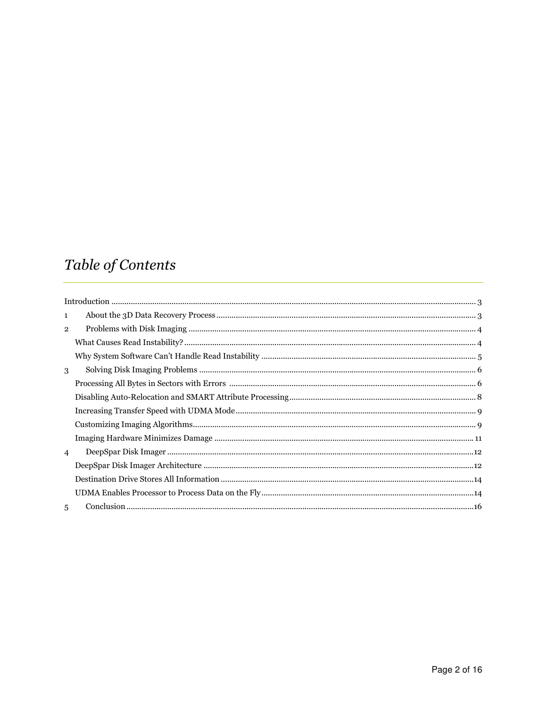# Table of Contents

| $\mathbf{1}$   |  |
|----------------|--|
| $\overline{2}$ |  |
|                |  |
|                |  |
| 3              |  |
|                |  |
|                |  |
|                |  |
|                |  |
|                |  |
| $\overline{4}$ |  |
|                |  |
|                |  |
|                |  |
| 5              |  |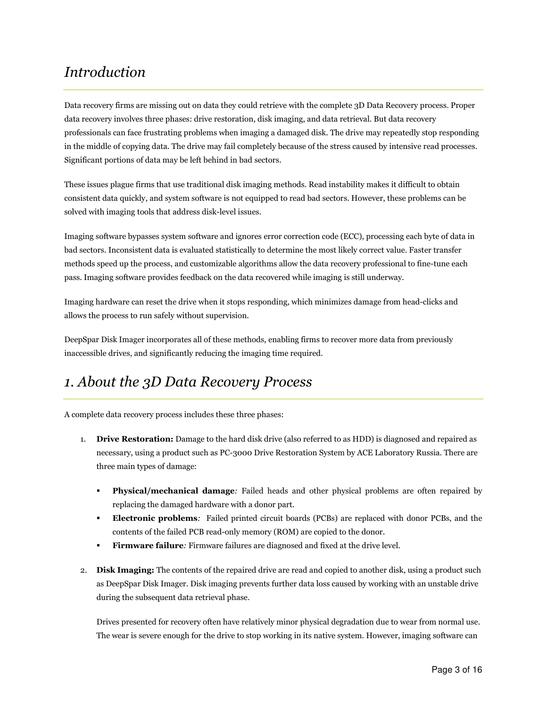# Introduction

Data recovery firms are missing out on data they could retrieve with the complete 3D Data Recovery process. Proper data recovery involves three phases: drive restoration, disk imaging, and data retrieval. But data recovery professionals can face frustrating problems when imaging a damaged disk. The drive may repeatedly stop responding in the middle of copying data. The drive may fail completely because of the stress caused by intensive read processes. Significant portions of data may be left behind in bad sectors.

These issues plague firms that use traditional disk imaging methods. Read instability makes it difficult to obtain consistent data quickly, and system software is not equipped to read bad sectors. However, these problems can be solved with imaging tools that address disk-level issues.

Imaging software bypasses system software and ignores error correction code (ECC), processing each byte of data in bad sectors. Inconsistent data is evaluated statistically to determine the most likely correct value. Faster transfer methods speed up the process, and customizable algorithms allow the data recovery professional to fine-tune each pass. Imaging software provides feedback on the data recovered while imaging is still underway.

Imaging hardware can reset the drive when it stops responding, which minimizes damage from head-clicks and allows the process to run safely without supervision.

DeepSpar Disk Imager incorporates all of these methods, enabling firms to recover more data from previously inaccessible drives, and significantly reducing the imaging time required.

# 1. About the 3D Data Recovery Process

A complete data recovery process includes these three phases:

- 1. Drive Restoration: Damage to the hard disk drive (also referred to as HDD) is diagnosed and repaired as necessary, using a product such as PC-3000 Drive Restoration System by ACE Laboratory Russia. There are three main types of damage:
	- Physical/mechanical damage: Failed heads and other physical problems are often repaired by replacing the damaged hardware with a donor part.
	- Electronic problems: Failed printed circuit boards (PCBs) are replaced with donor PCBs, and the contents of the failed PCB read-only memory (ROM) are copied to the donor.
	- **Firmware failure**: Firmware failures are diagnosed and fixed at the drive level.
- 2. Disk Imaging: The contents of the repaired drive are read and copied to another disk, using a product such as DeepSpar Disk Imager. Disk imaging prevents further data loss caused by working with an unstable drive during the subsequent data retrieval phase.

Drives presented for recovery often have relatively minor physical degradation due to wear from normal use. The wear is severe enough for the drive to stop working in its native system. However, imaging software can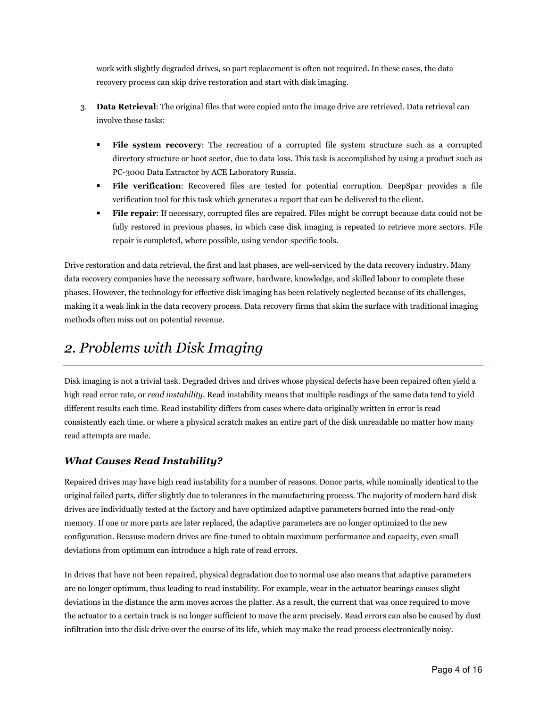work with slightly degraded drives, so part replacement is often not required. In these cases, the data recovery process can skip drive restoration and start with disk imaging.

- 3. Data Retrieval: The original files that were copied onto the image drive are retrieved. Data retrieval can involve these tasks:
	- File system recovery: The recreation of a corrupted file system structure such as a corrupted directory structure or boot sector, due to data loss. This task is accomplished by using a product such as PC-3000 Data Extractor by ACE Laboratory Russia.
	- File verification: Recovered files are tested for potential corruption. DeepSpar provides a file verification tool for this task which generates a report that can be delivered to the client.
	- File repair: If necessary, corrupted files are repaired. Files might be corrupt because data could not be fully restored in previous phases, in which case disk imaging is repeated to retrieve more sectors. File repair is completed, where possible, using vendor-specific tools.

Drive restoration and data retrieval, the first and last phases, are well-serviced by the data recovery industry. Many data recovery companies have the necessary software, hardware, knowledge, and skilled labour to complete these phases. However, the technology for effective disk imaging has been relatively neglected because of its challenges, making it a weak link in the data recovery process. Data recovery firms that skim the surface with traditional imaging methods often miss out on potential revenue.

# 2. Problems with Disk Imaging

Disk imaging is not a trivial task. Degraded drives and drives whose physical defects have been repaired often yield a high read error rate, or *read instability*. Read instability means that multiple readings of the same data tend to yield different results each time. Read instability differs from cases where data originally written in error is read consistently each time, or where a physical scratch makes an entire part of the disk unreadable no matter how many read attempts are made.

## What Causes Read Instability?

Repaired drives may have high read instability for a number of reasons. Donor parts, while nominally identical to the original failed parts, differ slightly due to tolerances in the manufacturing process. The majority of modern hard disk drives are individually tested at the factory and have optimized adaptive parameters burned into the read-only memory. If one or more parts are later replaced, the adaptive parameters are no longer optimized to the new configuration. Because modern drives are fine-tuned to obtain maximum performance and capacity, even small deviations from optimum can introduce a high rate of read errors.

In drives that have not been repaired, physical degradation due to normal use also means that adaptive parameters are no longer optimum, thus leading to read instability. For example, wear in the actuator bearings causes slight deviations in the distance the arm moves across the platter. As a result, the current that was once required to move the actuator to a certain track is no longer sufficient to move the arm precisely. Read errors can also be caused by dust infiltration into the disk drive over the course of its life, which may make the read process electronically noisy.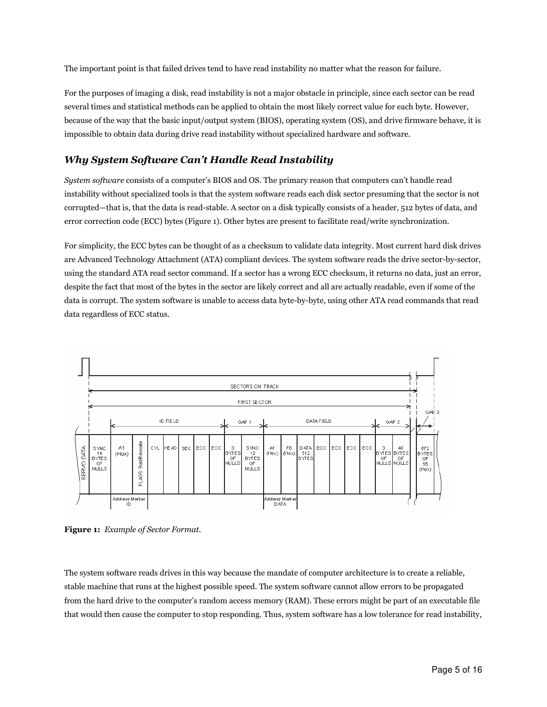The important point is that failed drives tend to have read instability no matter what the reason for failure.

For the purposes of imaging a disk, read instability is not a major obstacle in principle, since each sector can be read several times and statistical methods can be applied to obtain the most likely correct value for each byte. However, because of the way that the basic input/output system (BIOS), operating system (OS), and drive firmware behave, it is impossible to obtain data during drive read instability without specialized hardware and software.

### Why System Software Can't Handle Read Instability

System software consists of a computer's BIOS and OS. The primary reason that computers can't handle read instability without specialized tools is that the system software reads each disk sector presuming that the sector is not corrupted—that is, that the data is read-stable. A sector on a disk typically consists of a header, 512 bytes of data, and error correction code (ECC) bytes (Figure 1). Other bytes are present to facilitate read/write synchronization.

For simplicity, the ECC bytes can be thought of as a checksum to validate data integrity. Most current hard disk drives are Advanced Technology Attachment (ATA) compliant devices. The system software reads the drive sector-by-sector, using the standard ATA read sector command. If a sector has a wrong ECC checksum, it returns no data, just an error, despite the fact that most of the bytes in the sector are likely correct and all are actually readable, even if some of the data is corrupt. The system software is unable to access data byte-by-byte, using other ATA read commands that read data regardless of ECC status.



Figure 1: Example of Sector Format.

The system software reads drives in this way because the mandate of computer architecture is to create a reliable, stable machine that runs at the highest possible speed. The system software cannot allow errors to be propagated from the hard drive to the computer's random access memory (RAM). These errors might be part of an executable file that would then cause the computer to stop responding. Thus, system software has a low tolerance for read instability,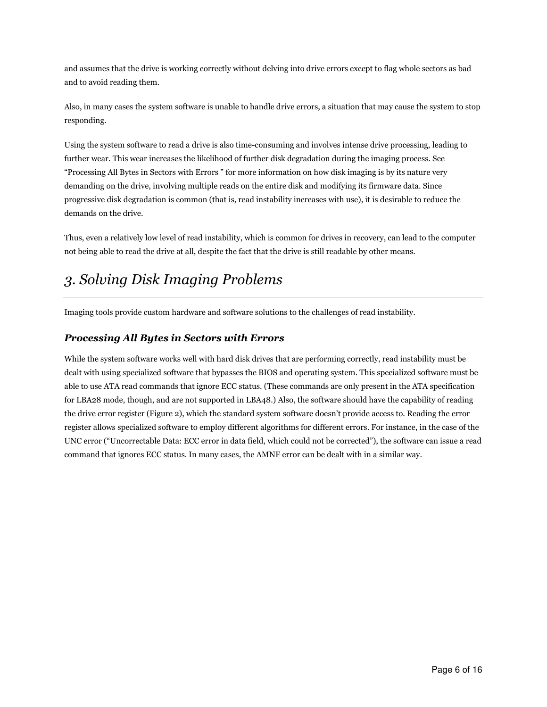and assumes that the drive is working correctly without delving into drive errors except to flag whole sectors as bad and to avoid reading them.

Also, in many cases the system software is unable to handle drive errors, a situation that may cause the system to stop responding.

Using the system software to read a drive is also time-consuming and involves intense drive processing, leading to further wear. This wear increases the likelihood of further disk degradation during the imaging process. See "Processing All Bytes in Sectors with Errors " for more information on how disk imaging is by its nature very demanding on the drive, involving multiple reads on the entire disk and modifying its firmware data. Since progressive disk degradation is common (that is, read instability increases with use), it is desirable to reduce the demands on the drive.

Thus, even a relatively low level of read instability, which is common for drives in recovery, can lead to the computer not being able to read the drive at all, despite the fact that the drive is still readable by other means.

# 3. Solving Disk Imaging Problems

Imaging tools provide custom hardware and software solutions to the challenges of read instability.

### Processing All Bytes in Sectors with Errors

While the system software works well with hard disk drives that are performing correctly, read instability must be dealt with using specialized software that bypasses the BIOS and operating system. This specialized software must be able to use ATA read commands that ignore ECC status. (These commands are only present in the ATA specification for LBA28 mode, though, and are not supported in LBA48.) Also, the software should have the capability of reading the drive error register (Figure 2), which the standard system software doesn't provide access to. Reading the error register allows specialized software to employ different algorithms for different errors. For instance, in the case of the UNC error ("Uncorrectable Data: ECC error in data field, which could not be corrected"), the software can issue a read command that ignores ECC status. In many cases, the AMNF error can be dealt with in a similar way.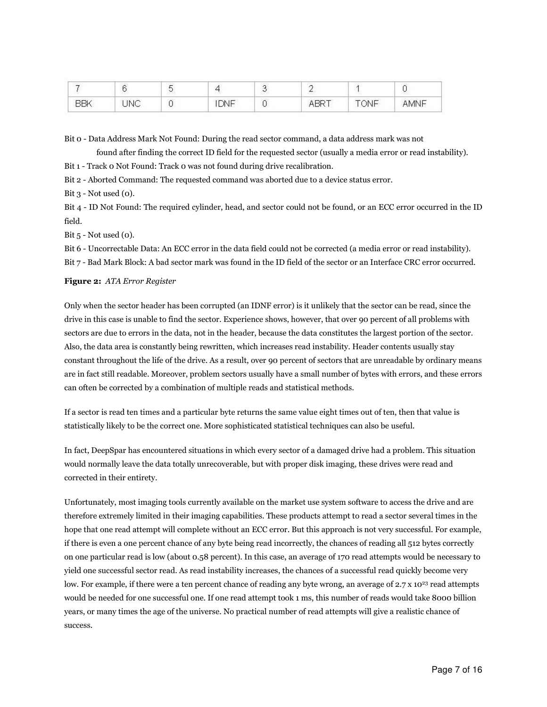| 30000<br>- |      | - | 198 | --- |  |
|------------|------|---|-----|-----|--|
|            | ---- |   |     |     |  |

Bit 0 - Data Address Mark Not Found: During the read sector command, a data address mark was not found after finding the correct ID field for the requested sector (usually a media error or read instability).

Bit 1 - Track 0 Not Found: Track 0 was not found during drive recalibration.

Bit 2 - Aborted Command: The requested command was aborted due to a device status error.

Bit  $3$  - Not used  $(0)$ .

Bit 4 - ID Not Found: The required cylinder, head, and sector could not be found, or an ECC error occurred in the ID field.

Bit  $5$  - Not used  $(0)$ .

Bit 6 - Uncorrectable Data: An ECC error in the data field could not be corrected (a media error or read instability).

Bit 7 - Bad Mark Block: A bad sector mark was found in the ID field of the sector or an Interface CRC error occurred.

#### Figure 2: ATA Error Register

Only when the sector header has been corrupted (an IDNF error) is it unlikely that the sector can be read, since the drive in this case is unable to find the sector. Experience shows, however, that over 90 percent of all problems with sectors are due to errors in the data, not in the header, because the data constitutes the largest portion of the sector. Also, the data area is constantly being rewritten, which increases read instability. Header contents usually stay constant throughout the life of the drive. As a result, over 90 percent of sectors that are unreadable by ordinary means are in fact still readable. Moreover, problem sectors usually have a small number of bytes with errors, and these errors can often be corrected by a combination of multiple reads and statistical methods.

If a sector is read ten times and a particular byte returns the same value eight times out of ten, then that value is statistically likely to be the correct one. More sophisticated statistical techniques can also be useful.

In fact, DeepSpar has encountered situations in which every sector of a damaged drive had a problem. This situation would normally leave the data totally unrecoverable, but with proper disk imaging, these drives were read and corrected in their entirety.

Unfortunately, most imaging tools currently available on the market use system software to access the drive and are therefore extremely limited in their imaging capabilities. These products attempt to read a sector several times in the hope that one read attempt will complete without an ECC error. But this approach is not very successful. For example, if there is even a one percent chance of any byte being read incorrectly, the chances of reading all 512 bytes correctly on one particular read is low (about 0.58 percent). In this case, an average of 170 read attempts would be necessary to yield one successful sector read. As read instability increases, the chances of a successful read quickly become very low. For example, if there were a ten percent chance of reading any byte wrong, an average of 2.7 x 10<sup>23</sup> read attempts would be needed for one successful one. If one read attempt took 1 ms, this number of reads would take 8000 billion years, or many times the age of the universe. No practical number of read attempts will give a realistic chance of success.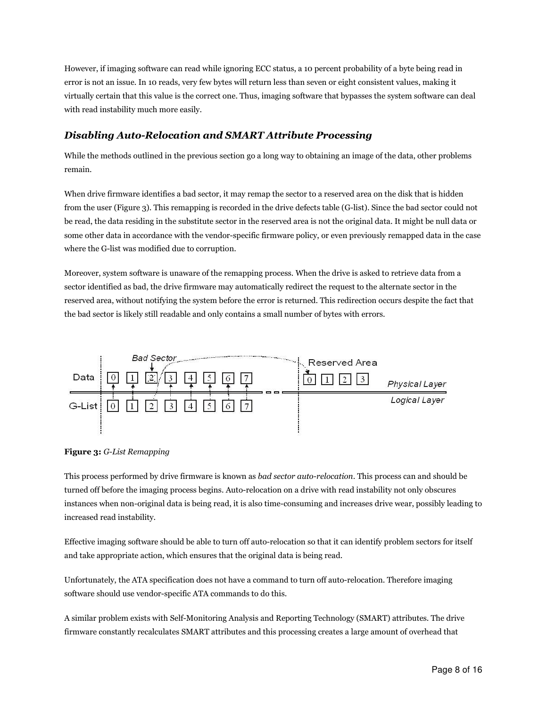However, if imaging software can read while ignoring ECC status, a 10 percent probability of a byte being read in error is not an issue. In 10 reads, very few bytes will return less than seven or eight consistent values, making it virtually certain that this value is the correct one. Thus, imaging software that bypasses the system software can deal with read instability much more easily.

### Disabling Auto-Relocation and SMART Attribute Processing

While the methods outlined in the previous section go a long way to obtaining an image of the data, other problems remain.

When drive firmware identifies a bad sector, it may remap the sector to a reserved area on the disk that is hidden from the user (Figure 3). This remapping is recorded in the drive defects table (G-list). Since the bad sector could not be read, the data residing in the substitute sector in the reserved area is not the original data. It might be null data or some other data in accordance with the vendor-specific firmware policy, or even previously remapped data in the case where the G-list was modified due to corruption.

Moreover, system software is unaware of the remapping process. When the drive is asked to retrieve data from a sector identified as bad, the drive firmware may automatically redirect the request to the alternate sector in the reserved area, without notifying the system before the error is returned. This redirection occurs despite the fact that the bad sector is likely still readable and only contains a small number of bytes with errors.



Figure 3: G-List Remapping

This process performed by drive firmware is known as bad sector auto-relocation. This process can and should be turned off before the imaging process begins. Auto-relocation on a drive with read instability not only obscures instances when non-original data is being read, it is also time-consuming and increases drive wear, possibly leading to increased read instability.

Effective imaging software should be able to turn off auto-relocation so that it can identify problem sectors for itself and take appropriate action, which ensures that the original data is being read.

Unfortunately, the ATA specification does not have a command to turn off auto-relocation. Therefore imaging software should use vendor-specific ATA commands to do this.

A similar problem exists with Self-Monitoring Analysis and Reporting Technology (SMART) attributes. The drive firmware constantly recalculates SMART attributes and this processing creates a large amount of overhead that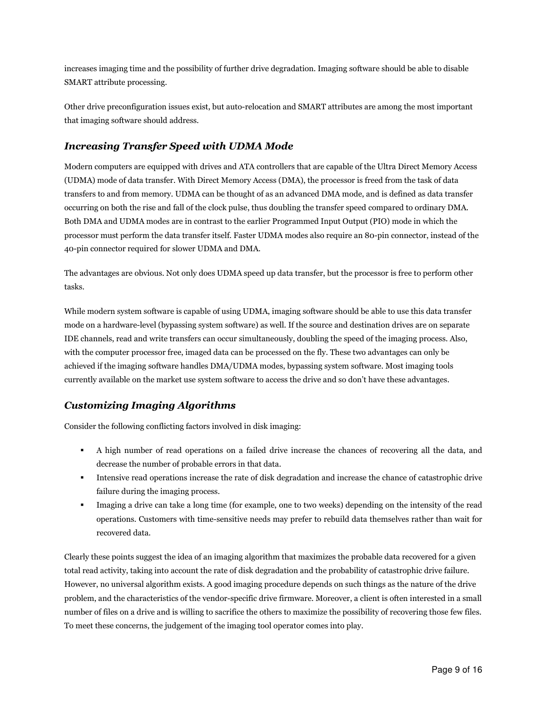increases imaging time and the possibility of further drive degradation. Imaging software should be able to disable SMART attribute processing.

Other drive preconfiguration issues exist, but auto-relocation and SMART attributes are among the most important that imaging software should address.

### Increasing Transfer Speed with UDMA Mode

Modern computers are equipped with drives and ATA controllers that are capable of the Ultra Direct Memory Access (UDMA) mode of data transfer. With Direct Memory Access (DMA), the processor is freed from the task of data transfers to and from memory. UDMA can be thought of as an advanced DMA mode, and is defined as data transfer occurring on both the rise and fall of the clock pulse, thus doubling the transfer speed compared to ordinary DMA. Both DMA and UDMA modes are in contrast to the earlier Programmed Input Output (PIO) mode in which the processor must perform the data transfer itself. Faster UDMA modes also require an 80-pin connector, instead of the 40-pin connector required for slower UDMA and DMA.

The advantages are obvious. Not only does UDMA speed up data transfer, but the processor is free to perform other tasks.

While modern system software is capable of using UDMA, imaging software should be able to use this data transfer mode on a hardware-level (bypassing system software) as well. If the source and destination drives are on separate IDE channels, read and write transfers can occur simultaneously, doubling the speed of the imaging process. Also, with the computer processor free, imaged data can be processed on the fly. These two advantages can only be achieved if the imaging software handles DMA/UDMA modes, bypassing system software. Most imaging tools currently available on the market use system software to access the drive and so don't have these advantages.

## Customizing Imaging Algorithms

Consider the following conflicting factors involved in disk imaging:

- A high number of read operations on a failed drive increase the chances of recovering all the data, and decrease the number of probable errors in that data.
- Intensive read operations increase the rate of disk degradation and increase the chance of catastrophic drive failure during the imaging process.
- Imaging a drive can take a long time (for example, one to two weeks) depending on the intensity of the read operations. Customers with time-sensitive needs may prefer to rebuild data themselves rather than wait for recovered data.

Clearly these points suggest the idea of an imaging algorithm that maximizes the probable data recovered for a given total read activity, taking into account the rate of disk degradation and the probability of catastrophic drive failure. However, no universal algorithm exists. A good imaging procedure depends on such things as the nature of the drive problem, and the characteristics of the vendor-specific drive firmware. Moreover, a client is often interested in a small number of files on a drive and is willing to sacrifice the others to maximize the possibility of recovering those few files. To meet these concerns, the judgement of the imaging tool operator comes into play.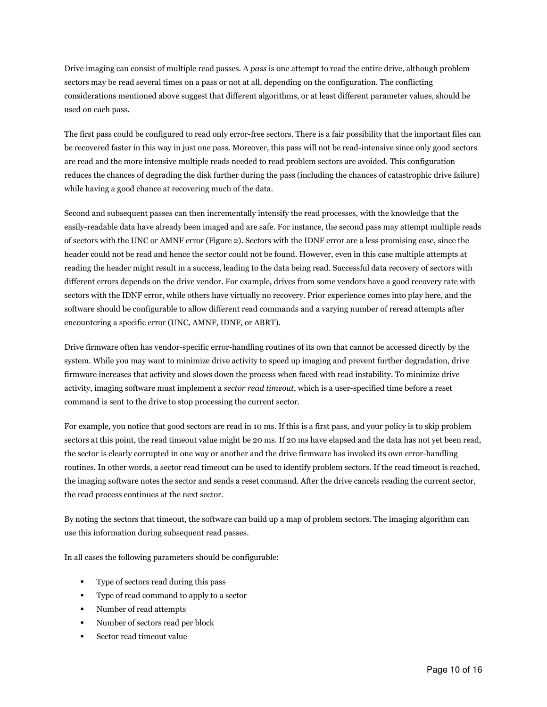Drive imaging can consist of multiple read passes. A pass is one attempt to read the entire drive, although problem sectors may be read several times on a pass or not at all, depending on the configuration. The conflicting considerations mentioned above suggest that different algorithms, or at least different parameter values, should be used on each pass.

The first pass could be configured to read only error-free sectors. There is a fair possibility that the important files can be recovered faster in this way in just one pass. Moreover, this pass will not be read-intensive since only good sectors are read and the more intensive multiple reads needed to read problem sectors are avoided. This configuration reduces the chances of degrading the disk further during the pass (including the chances of catastrophic drive failure) while having a good chance at recovering much of the data.

Second and subsequent passes can then incrementally intensify the read processes, with the knowledge that the easily-readable data have already been imaged and are safe. For instance, the second pass may attempt multiple reads of sectors with the UNC or AMNF error (Figure 2). Sectors with the IDNF error are a less promising case, since the header could not be read and hence the sector could not be found. However, even in this case multiple attempts at reading the header might result in a success, leading to the data being read. Successful data recovery of sectors with different errors depends on the drive vendor. For example, drives from some vendors have a good recovery rate with sectors with the IDNF error, while others have virtually no recovery. Prior experience comes into play here, and the software should be configurable to allow different read commands and a varying number of reread attempts after encountering a specific error (UNC, AMNF, IDNF, or ABRT).

Drive firmware often has vendor-specific error-handling routines of its own that cannot be accessed directly by the system. While you may want to minimize drive activity to speed up imaging and prevent further degradation, drive firmware increases that activity and slows down the process when faced with read instability. To minimize drive activity, imaging software must implement a sector read timeout, which is a user-specified time before a reset command is sent to the drive to stop processing the current sector.

For example, you notice that good sectors are read in 10 ms. If this is a first pass, and your policy is to skip problem sectors at this point, the read timeout value might be 20 ms. If 20 ms have elapsed and the data has not yet been read, the sector is clearly corrupted in one way or another and the drive firmware has invoked its own error-handling routines. In other words, a sector read timeout can be used to identify problem sectors. If the read timeout is reached, the imaging software notes the sector and sends a reset command. After the drive cancels reading the current sector, the read process continues at the next sector.

By noting the sectors that timeout, the software can build up a map of problem sectors. The imaging algorithm can use this information during subsequent read passes.

In all cases the following parameters should be configurable:

- Type of sectors read during this pass
- Type of read command to apply to a sector
- Number of read attempts
- Number of sectors read per block
- Sector read timeout value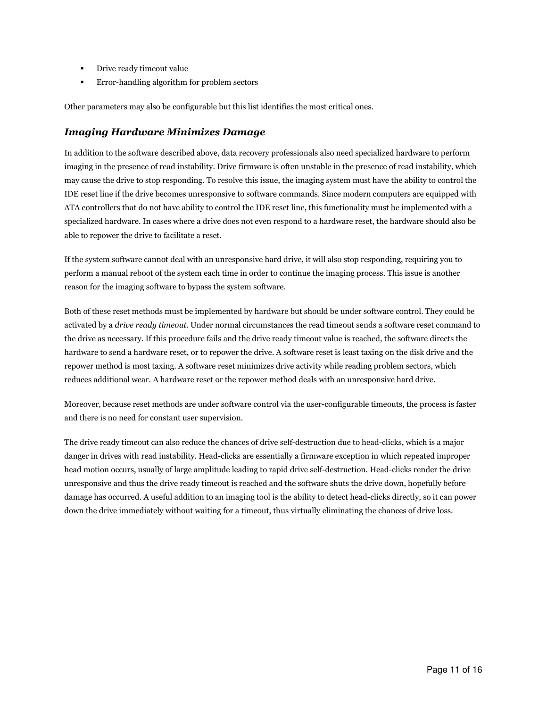- Drive ready timeout value
- Error-handling algorithm for problem sectors

Other parameters may also be configurable but this list identifies the most critical ones.

### Imaging Hardware Minimizes Damage

In addition to the software described above, data recovery professionals also need specialized hardware to perform imaging in the presence of read instability. Drive firmware is often unstable in the presence of read instability, which may cause the drive to stop responding. To resolve this issue, the imaging system must have the ability to control the IDE reset line if the drive becomes unresponsive to software commands. Since modern computers are equipped with ATA controllers that do not have ability to control the IDE reset line, this functionality must be implemented with a specialized hardware. In cases where a drive does not even respond to a hardware reset, the hardware should also be able to repower the drive to facilitate a reset.

If the system software cannot deal with an unresponsive hard drive, it will also stop responding, requiring you to perform a manual reboot of the system each time in order to continue the imaging process. This issue is another reason for the imaging software to bypass the system software.

Both of these reset methods must be implemented by hardware but should be under software control. They could be activated by a drive ready timeout. Under normal circumstances the read timeout sends a software reset command to the drive as necessary. If this procedure fails and the drive ready timeout value is reached, the software directs the hardware to send a hardware reset, or to repower the drive. A software reset is least taxing on the disk drive and the repower method is most taxing. A software reset minimizes drive activity while reading problem sectors, which reduces additional wear. A hardware reset or the repower method deals with an unresponsive hard drive.

Moreover, because reset methods are under software control via the user-configurable timeouts, the process is faster and there is no need for constant user supervision.

The drive ready timeout can also reduce the chances of drive self-destruction due to head-clicks, which is a major danger in drives with read instability. Head-clicks are essentially a firmware exception in which repeated improper head motion occurs, usually of large amplitude leading to rapid drive self-destruction. Head-clicks render the drive unresponsive and thus the drive ready timeout is reached and the software shuts the drive down, hopefully before damage has occurred. A useful addition to an imaging tool is the ability to detect head-clicks directly, so it can power down the drive immediately without waiting for a timeout, thus virtually eliminating the chances of drive loss.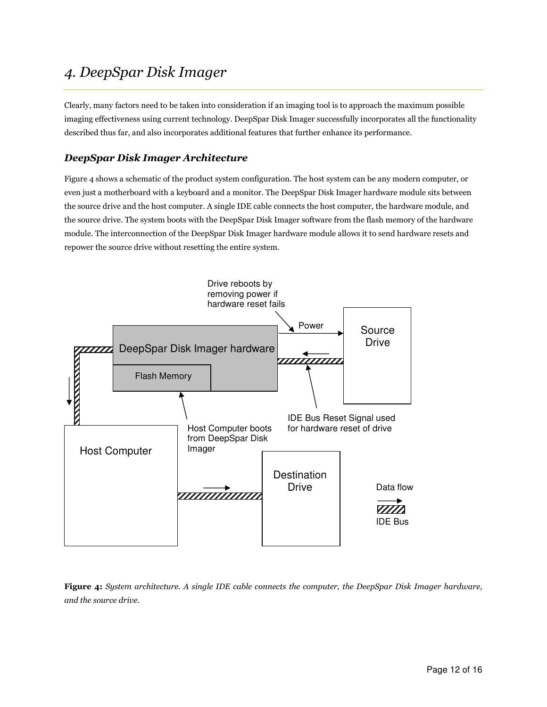# 4. DeepSpar Disk Imager

Clearly, many factors need to be taken into consideration if an imaging tool is to approach the maximum possible imaging effectiveness using current technology. DeepSpar Disk Imager successfully incorporates all the functionality described thus far, and also incorporates additional features that further enhance its performance.

## DeepSpar Disk Imager Architecture

Figure 4 shows a schematic of the product system configuration. The host system can be any modern computer, or even just a motherboard with a keyboard and a monitor. The DeepSpar Disk Imager hardware module sits between the source drive and the host computer. A single IDE cable connects the host computer, the hardware module, and the source drive. The system boots with the DeepSpar Disk Imager software from the flash memory of the hardware module. The interconnection of the DeepSpar Disk Imager hardware module allows it to send hardware resets and repower the source drive without resetting the entire system.



Figure 4: System architecture. A single IDE cable connects the computer, the DeepSpar Disk Imager hardware, and the source drive.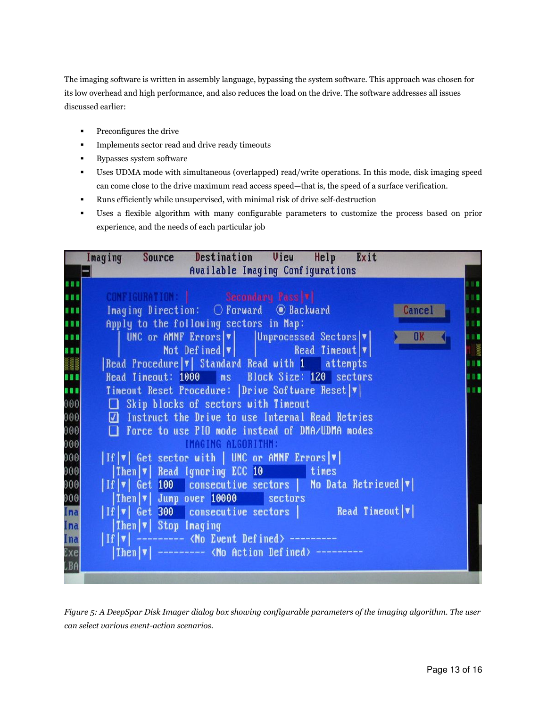The imaging software is written in assembly language, bypassing the system software. This approach was chosen for its low overhead and high performance, and also reduces the load on the drive. The software addresses all issues discussed earlier:

- **Preconfigures the drive**
- **Implements sector read and drive ready timeouts**
- **Bypasses system software**
- Uses UDMA mode with simultaneous (overlapped) read/write operations. In this mode, disk imaging speed can come close to the drive maximum read access speed—that is, the speed of a surface verification.
- Runs efficiently while unsupervised, with minimal risk of drive self-destruction
- Uses a flexible algorithm with many configurable parameters to customize the process based on prior experience, and the needs of each particular job

|                         | Imaging Source Destination View Help Exit                                                       |     |
|-------------------------|-------------------------------------------------------------------------------------------------|-----|
|                         | Available Imaging Configurations                                                                |     |
| ,,,                     |                                                                                                 | n a |
| <b><i><b>BB</b></i></b> | CONFIGURATION: Secondary Pass  v                                                                | 88  |
| <b>BBB</b>              | Imaging Direction: O Forward © Backward<br><b>Cancel</b>                                        | m   |
| 111                     | Apply to the following sectors in Map:                                                          | m   |
| 888                     | UNC or AMNF Errors $ \mathbf{v} $   Unprocessed Sectors $ \mathbf{v} $<br>OK                    | п   |
| 888                     | Not Defined $ \mathbf{v} $   Read Timeout $ \mathbf{v} $                                        |     |
|                         | Read Procedure $\mathbf{v}$ Standard Read with 1 attempts                                       |     |
|                         | Read Timeout: 1000 ms Block Size: 120 sectors                                                   | m   |
| 888)                    | Timeout Reset Procedure: Drive Software Reset v                                                 | W.  |
| $ 000\rangle$           | Skip blocks of sectors with Timeout                                                             |     |
| 000                     | Instruct the Drive to use Internal Read Retries                                                 |     |
| 000<br>000              | □ Force to use PIO mode instead of DMA/UDMA modes                                               |     |
|                         | IMAGING ALGORITHM:                                                                              |     |
| 000                     | $\  \text{If }  \mathbf{v} $ Get sector with   UNC or AMNF Errors $\  \mathbf{v} \ $            |     |
| 000                     | Then  v  Read Ignoring ECC 10 times                                                             |     |
| 000<br>000<br>000       | $\  \text{If }  \mathbf{v} $ Get 100 consecutive sectors   No Data Retrieved $\  \mathbf{v} \ $ |     |
|                         | $ Then \mathbf{v} $ Jump over 10000 sectors                                                     |     |
| Ima                     | $  \text{If }  \mathbf{v} $ Get 300 consecutive sectors Read Timeout $ \mathbf{v} $             |     |
| Ima                     | $\vert$ Then $\vert \mathbf{v} \vert$ Stop Imaging                                              |     |
| Ina                     | $  \text{ If }   \mathbf{v}  $ --------- < No Event Defined> ---------                          |     |
| Exe                     | Then $ \mathbf{v} $ --------- < No Action Defined> ---------                                    |     |
| LBA                     |                                                                                                 |     |
|                         |                                                                                                 |     |

Figure 5: A DeepSpar Disk Imager dialog box showing configurable parameters of the imaging algorithm. The user can select various event-action scenarios.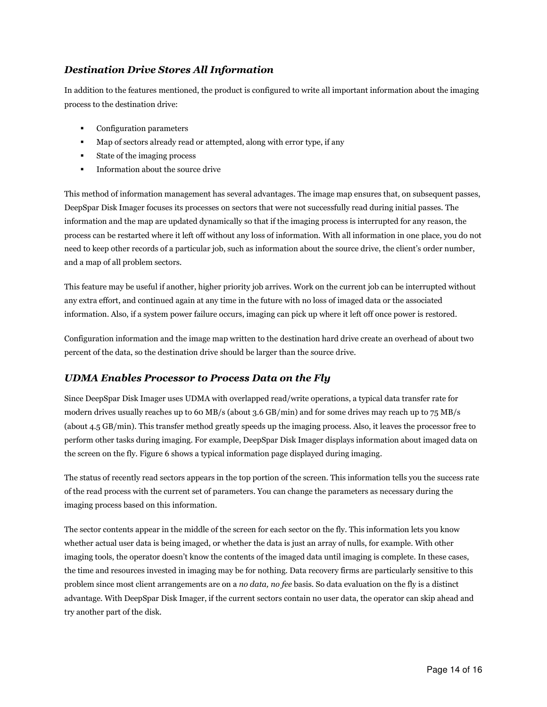### Destination Drive Stores All Information

In addition to the features mentioned, the product is configured to write all important information about the imaging process to the destination drive:

- Configuration parameters
- Map of sectors already read or attempted, along with error type, if any
- State of the imaging process
- Information about the source drive

This method of information management has several advantages. The image map ensures that, on subsequent passes, DeepSpar Disk Imager focuses its processes on sectors that were not successfully read during initial passes. The information and the map are updated dynamically so that if the imaging process is interrupted for any reason, the process can be restarted where it left off without any loss of information. With all information in one place, you do not need to keep other records of a particular job, such as information about the source drive, the client's order number, and a map of all problem sectors.

This feature may be useful if another, higher priority job arrives. Work on the current job can be interrupted without any extra effort, and continued again at any time in the future with no loss of imaged data or the associated information. Also, if a system power failure occurs, imaging can pick up where it left off once power is restored.

Configuration information and the image map written to the destination hard drive create an overhead of about two percent of the data, so the destination drive should be larger than the source drive.

### UDMA Enables Processor to Process Data on the Fly

Since DeepSpar Disk Imager uses UDMA with overlapped read/write operations, a typical data transfer rate for modern drives usually reaches up to 60 MB/s (about 3.6 GB/min) and for some drives may reach up to 75 MB/s (about 4.5 GB/min). This transfer method greatly speeds up the imaging process. Also, it leaves the processor free to perform other tasks during imaging. For example, DeepSpar Disk Imager displays information about imaged data on the screen on the fly. Figure 6 shows a typical information page displayed during imaging.

The status of recently read sectors appears in the top portion of the screen. This information tells you the success rate of the read process with the current set of parameters. You can change the parameters as necessary during the imaging process based on this information.

The sector contents appear in the middle of the screen for each sector on the fly. This information lets you know whether actual user data is being imaged, or whether the data is just an array of nulls, for example. With other imaging tools, the operator doesn't know the contents of the imaged data until imaging is complete. In these cases, the time and resources invested in imaging may be for nothing. Data recovery firms are particularly sensitive to this problem since most client arrangements are on a no data, no fee basis. So data evaluation on the fly is a distinct advantage. With DeepSpar Disk Imager, if the current sectors contain no user data, the operator can skip ahead and try another part of the disk.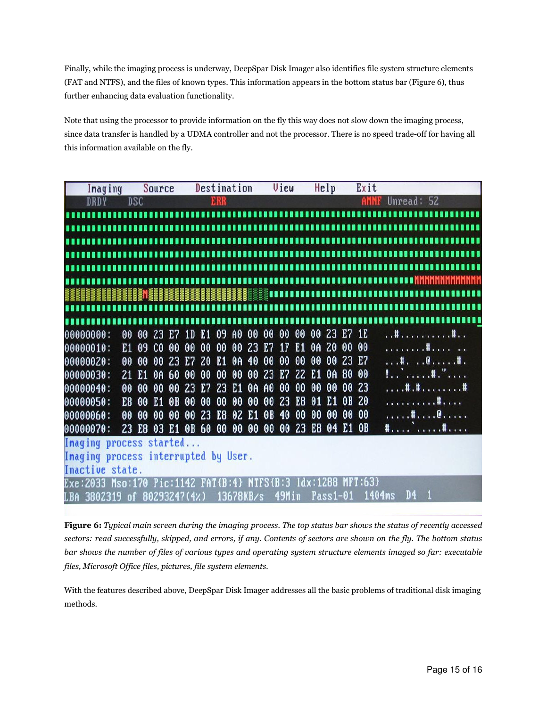Finally, while the imaging process is underway, DeepSpar Disk Imager also identifies file system structure elements (FAT and NTFS), and the files of known types. This information appears in the bottom status bar (Figure 6), thus further enhancing data evaluation functionality.

Note that using the processor to provide information on the fly this way does not slow down the imaging process, since data transfer is handled by a UDMA controller and not the processor. There is no speed trade-off for having all this information available on the fly.

|                                                                                   | Imaging     |                |                | Source                           |            |                | Destination    |            |                |    |                | View                     |                |           | He1p           |       | Exit           |                  |                |            |                              |  |
|-----------------------------------------------------------------------------------|-------------|----------------|----------------|----------------------------------|------------|----------------|----------------|------------|----------------|----|----------------|--------------------------|----------------|-----------|----------------|-------|----------------|------------------|----------------|------------|------------------------------|--|
|                                                                                   | <b>DRDY</b> |                | <b>DSC</b>     |                                  |            |                |                | <b>ERR</b> |                |    |                |                          |                |           |                |       | AMN            |                  |                | Unread: 52 |                              |  |
|                                                                                   |             |                |                | ,,,,,,,,,,,,,,,,,,,,,,,,,,,,,,,, |            |                |                |            |                |    |                |                          |                |           |                |       |                |                  |                |            |                              |  |
|                                                                                   |             |                |                |                                  |            |                |                |            |                |    |                | ,,,,,,,,,,,,,,,,,,,,,    |                |           |                |       |                |                  |                |            |                              |  |
|                                                                                   |             |                |                |                                  |            |                |                |            |                |    |                | ,,,,,,,,,,,,,,,,,,,,,,,, |                |           |                |       |                |                  |                |            |                              |  |
|                                                                                   |             |                |                |                                  |            |                |                |            |                |    |                |                          |                |           |                |       |                |                  |                |            |                              |  |
|                                                                                   |             |                |                |                                  |            |                |                |            |                |    |                |                          |                |           |                |       |                |                  |                |            |                              |  |
|                                                                                   |             |                |                |                                  |            |                |                |            |                |    |                |                          |                |           |                |       |                |                  |                |            |                              |  |
|                                                                                   |             |                |                |                                  |            |                |                |            |                |    |                |                          |                |           |                |       |                |                  |                |            |                              |  |
|                                                                                   |             |                |                |                                  |            |                |                |            |                |    |                |                          |                |           |                |       |                |                  |                |            |                              |  |
|                                                                                   |             |                |                |                                  |            |                |                |            |                |    |                |                          |                |           |                |       |                | ,,,,,,,,,,,,,,,, |                |            |                              |  |
| 00000000:                                                                         |             | 00             | 00             | 23                               | E7         | 1 <sub>D</sub> | E1             | 09         | A <sub>0</sub> | 00 | 00             | 00                       |                |           | 00 00 23 E7    |       | 1E             |                  |                |            | . . <b># #</b>               |  |
| 00000010:                                                                         |             | E <sub>1</sub> | 09             | C <sub>0</sub>                   | 00         | 00             | 00             | 00         | 00             | 23 | E7             | 1 <sub>F</sub>           | E <sub>1</sub> | <b>0A</b> | 20             | 00    | 00             |                  |                |            | . #                          |  |
| 00000020:                                                                         |             | 00             | 00             | 00                               | 23         | E <sub>7</sub> | 20             | E1         | 0A             | 40 | 00             | 00                       | 00             | 00        | 00             | 23    | E <sub>7</sub> |                  |                |            | . # @ # .                    |  |
| 00000030:                                                                         |             | 21             | E <sub>1</sub> | 0A                               | 60         | 00             | 00             | 00         | 00             | 00 | 23             | E <sub>7</sub>           | 22             | E1        | ΘA             | 80    | 00             |                  |                |            | 1. . <sup>.</sup> <b>. .</b> |  |
| 00000040:                                                                         |             | 00             | 00             | 00                               | 00         | 23             | E <sub>7</sub> | 23         | E1             | 0A | A <sub>0</sub> | 00                       | 00             | 00        | 00             | 00    | 23             |                  |                |            | . # . # #                    |  |
| 00000050:                                                                         |             | E8             | 00             | E <sub>1</sub>                   | $\theta$ B | 00             | 00             | 00         | 00             | 00 | 00             | 23                       | E8             | 01        | E <sub>1</sub> | 0B    | 20             |                  |                |            | . <b>. .</b>                 |  |
| 00000060:                                                                         |             | 00             | 00             | 00                               | 00         | 00             | 23             | E8         | 02 E1          |    | 0B             | 40                       | 00             | 00        | 00             | 00    | 00             |                  |                |            | . <b>. .</b> 0               |  |
|                                                                                   |             |                |                |                                  |            |                |                |            |                |    |                | 00                       | <b>23</b>      | E8        |                | 04 E1 | 0B             |                  |                |            | <b>1. 1.</b>                 |  |
| 00000070:                                                                         |             | 23             |                | E8 03 E1 0B 60 00 00 00 00       |            |                |                |            |                |    |                |                          |                |           |                |       |                |                  |                |            |                              |  |
| Imaging process started                                                           |             |                |                |                                  |            |                |                |            |                |    |                |                          |                |           |                |       |                |                  |                |            |                              |  |
| Imaging process interrupted by User.                                              |             |                |                |                                  |            |                |                |            |                |    |                |                          |                |           |                |       |                |                  |                |            |                              |  |
| Inactive state.                                                                   |             |                |                |                                  |            |                |                |            |                |    |                |                          |                |           |                |       |                |                  |                |            |                              |  |
| Exe:2033 Mso:170        Pic:1142        FAT{B:4} NTFS{B:3        Idx:1288 NFT:63} |             |                |                |                                  |            |                |                |            |                |    |                |                          |                |           |                |       |                |                  |                |            |                              |  |
| LBA 3802319 of 80293247(4٪)                                                       |             |                |                |                                  |            |                |                |            | 13678KB/s      |    |                | 49Min                    |                |           | $Pass1-01$     |       |                | 1404ms           | D <sub>4</sub> |            |                              |  |

Figure 6: Typical main screen during the imaging process. The top status bar shows the status of recently accessed sectors: read successfully, skipped, and errors, if any. Contents of sectors are shown on the fly. The bottom status bar shows the number of files of various types and operating system structure elements imaged so far: executable files, Microsoft Office files, pictures, file system elements.

With the features described above, DeepSpar Disk Imager addresses all the basic problems of traditional disk imaging methods.